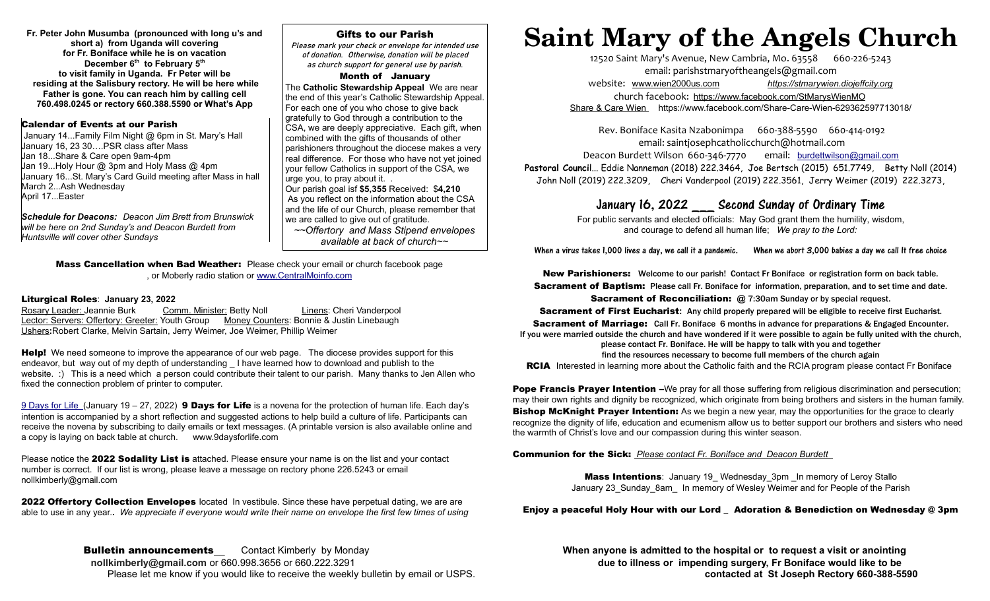**Fr. Peter John Musumba (pronounced with long u's and short a) from Uganda will covering for Fr. Boniface while he is on vacation December 6th to February 5th to visit family in Uganda. Fr Peter will be residing at the Salisbury rectory. He will be here while Father is gone. You can reach him by calling cell 760.498.0245 or rectory 660.388.5590 or What's App**

# Calendar of Events at our Parish

 January 14...Family Film Night @ 6pm in St. Mary's Hall January 16, 23 30….PSR class after Mass Jan 18...Share & Care open 9am-4pm Jan 19...Holy Hour @ 3pm and Holy Mass @ 4pm January 16...St. Mary's Card Guild meeting after Mass in hall March 2...Ash Wednesday April 17...Easter

*Schedule for Deacons: Deacon Jim Brett from Brunswick will be here on 2nd Sunday's and Deacon Burdett from Huntsville will cover other Sundays* 

# Gifts to our Parish

Please mark your check or envelope for intended use of donation. Otherwise, donation will be placed as church support for general use by parish.

### Month of January

The **Catholic Stewardship Appeal** We are near the end of this year's Catholic Stewardship Appeal. For each one of you who chose to give back gratefully to God through a contribution to the CSA, we are deeply appreciative. Each gift, when combined with the gifts of thousands of other parishioners throughout the diocese makes a very real difference. For those who have not yet joined your fellow Catholics in support of the CSA, we urge you, to pray about it. . Our parish goal isf **\$5,355** Received: \$**4,210** As you reflect on the information about the CSA and the life of our Church, please remember that we are called to give out of gratitude.

*~~Offertory and Mass Stipend envelopes available at back of church~~*

**Mass Cancellation when Bad Weather:** Please check your email or church facebook page , or Moberly radio station or [www.CentralMoinfo.com](http://www.CentralMoinfo.com/)

## Liturgical Roles: **January 23, 2022**

Rosary Leader: Jeannie Burk Comm. Minister: Betty Noll Linens: Cheri Vanderpool Lector: Servers: Offertory: Greeter: Youth Group Money Counters: Bonnie & Justin Linebaugh Ushers**:**Robert Clarke, Melvin Sartain, Jerry Weimer, Joe Weimer, Phillip Weimer

**Help!** We need someone to improve the appearance of our web page. The diocese provides support for this endeavor, but way out of my depth of understanding I have learned how to download and publish to the website. :) This is a need which a person could contribute their talent to our parish. Many thanks to Jen Allen who fixed the connection problem of printer to computer.

9 Days for Life (January 19 – 27, 2022) **9 Days for Life** is a novena for the protection of human life. Each day's intention is accompanied by a short reflection and suggested actions to help build a culture of life. Participants can receive the novena by subscribing to daily emails or text messages. (A printable version is also available online and a copy is laying on back table at church. www.9daysforlife.com

Please notice the 2022 Sodality List is attached. Please ensure your name is on the list and your contact number is correct. If our list is wrong, please leave a message on rectory phone 226.5243 or email nollkimberly@gmail.com

2022 Offertory Collection Envelopes located In vestibule. Since these have perpetual dating, we are are able to use in any year.**.** *We appreciate if everyone would write their name on envelope the first few times of using*

Please let me know if you would like to receive the weekly bulletin by email or USPS.**contacted at St Joseph Rectory 660-388-5590** 

# **Saint Mary of the Angels Church**

12520 Saint Mary's Avenue, New Cambria, Mo. 63558 660-226-5243 email: [parishstmaryoftheangels@gmail.com](mailto:parishstmaryoftheangels@gmail.com) website: [www.wien2000us.com](http://www.wien2000us.com/) *[https://stmarywien.diojeffcity.org](https://stmarywien.diojeffcity.org/)* church facebook: <https://www.facebook.com/StMarysWienMO>  [Share & Care Wien](https://www.facebook.com/Share-Care-Wien-629362597713018/) https://www.facebook.com/Share-Care-Wien-629362597713018/

Rev. Boniface Kasita Nzabonimpa 660-388-5590 660-414-0192 email: [saintjosephcatholicchurch@hotmail.com](mailto:saintjosephcatholicchurch@hotmail.com) Deacon Burdett Wilson 660-346-7770 email: [burdettwilson@gmail.com](mailto:burdettwilson@gmail.com)

Pastoral Council... Eddie Nanneman (2018) 222.3464, Joe Bertsch (2015) 651.7749, Betty Noll (2014) John Noll (2019) 222.3209, Cheri Vanderpool (2019) 222.3561, Jerry Weimer (2019) 222.3273,

# January 16, 2022 \_\_\_ Second Sunday of Ordinary Time

For public servants and elected officials: May God grant them the humility, wisdom, and courage to defend all human life; *We pray to the Lord:*

When a virus takes 1,000 lives a day, we call it a pandemic. When we abort 3,000 babies a day we call It free choice

New Parishioners: Welcome to our parish! Contact Fr Boniface or registration form on back table. Sacrament of Baptism: Please call Fr. Boniface for information, preparation, and to set time and date.

Sacrament of Reconciliation: **@** 7:30am Sunday or by special request.

Sacrament of First Eucharist**:** Any child properly prepared will be eligible to receive first Eucharist.

**Sacrament of Marriage:** Call Fr. Boniface 6 months in advance for preparations & Engaged Encounter. If you were married outside the church and have wondered if it were possible to again be fully united with the church, please contact Fr. Boniface. He will be happy to talk with you and together

find the resources necessary to become full members of the church again

RCIA Interested in learning more about the Catholic faith and the RCIA program please contact Fr Boniface

Pope Francis Prayer Intention **–**We pray for all those suffering from religious discrimination and persecution; may their own rights and dignity be recognized, which originate from being brothers and sisters in the human family. **Bishop McKnight Prayer Intention:** As we begin a new year, may the opportunities for the grace to clearly recognize the dignity of life, education and ecumenism allow us to better support our brothers and sisters who need the warmth of Christ's love and our compassion during this winter season.

# Communion for the Sick: *Please contact Fr. Boniface and Deacon Burdett*

Mass Intentions: January 19\_ Wednesday\_3pm \_In memory of Leroy Stallo January 23\_Sunday\_8am\_ In memory of Wesley Weimer and for People of the Parish

# Enjoy a peaceful Holy Hour with our Lord \_ Adoration & Benediction on Wednesday @ 3pm

**Bulletin announcements** Contact Kimberly by Monday **When anyone is admitted to the hospital or to request a visit or anointing rollkimberly Quertian anyone is admitted to the hospital or to request a visit or anointing ro** due to illness or impending surgery, Fr Boniface would like to be